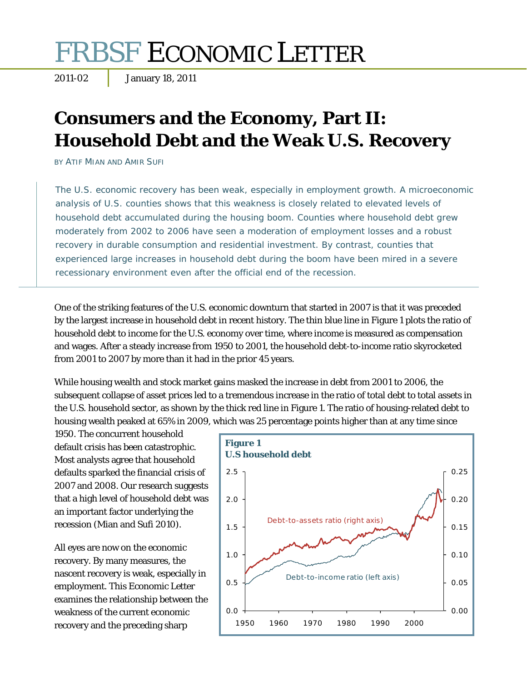# FRBSF ECONOMIC LETTER

2011-02 January 18, 2011

## **Consumers and the Economy, Part II: Household Debt and the Weak U.S. Recovery**

BY ATIF MIAN AND AMIR SUFI

The U.S. economic recovery has been weak, especially in employment growth. A microeconomic analysis of U.S. counties shows that this weakness is closely related to elevated levels of household debt accumulated during the housing boom. Counties where household debt grew moderately from 2002 to 2006 have seen a moderation of employment losses and a robust recovery in durable consumption and residential investment. By contrast, counties that experienced large increases in household debt during the boom have been mired in a severe recessionary environment even after the official end of the recession.

One of the striking features of the U.S. economic downturn that started in 2007 is that it was preceded by the largest increase in household debt in recent history. The thin blue line in Figure 1 plots the ratio of household debt to income for the U.S. economy over time, where income is measured as compensation and wages. After a steady increase from 1950 to 2001, the household debt-to-income ratio skyrocketed from 2001 to 2007 by more than it had in the prior 45 years.

While housing wealth and stock market gains masked the increase in debt from 2001 to 2006, the subsequent collapse of asset prices led to a tremendous increase in the ratio of total debt to total assets in the U.S. household sector, as shown by the thick red line in Figure 1. The ratio of housing-related debt to housing wealth peaked at 65% in 2009, which was 25 percentage points higher than at any time since

1950. The concurrent household default crisis has been catastrophic. Most analysts agree that household defaults sparked the financial crisis of 2007 and 2008. Our research suggests that a high level of household debt was an important factor underlying the recession (Mian and Sufi 2010).

All eyes are now on the economic recovery. By many measures, the nascent recovery is weak, especially in employment. This *Economic Letter* examines the relationship between the weakness of the current economic recovery and the preceding sharp

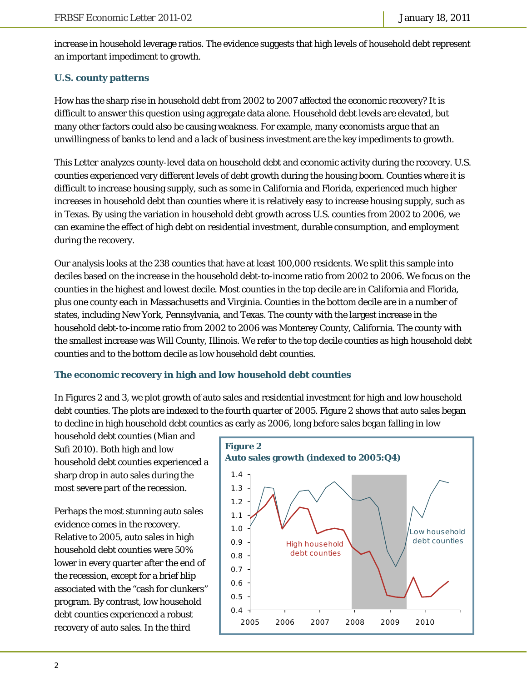increase in household leverage ratios. The evidence suggests that high levels of household debt represent an important impediment to growth.

### **U.S. county patterns**

How has the sharp rise in household debt from 2002 to 2007 affected the economic recovery? It is difficult to answer this question using aggregate data alone. Household debt levels are elevated, but many other factors could also be causing weakness. For example, many economists argue that an unwillingness of banks to lend and a lack of business investment are the key impediments to growth.

This *Letter* analyzes county-level data on household debt and economic activity during the recovery. U.S. counties experienced very different levels of debt growth during the housing boom. Counties where it is difficult to increase housing supply, such as some in California and Florida, experienced much higher increases in household debt than counties where it is relatively easy to increase housing supply, such as in Texas. By using the variation in household debt growth across U.S. counties from 2002 to 2006, we can examine the effect of high debt on residential investment, durable consumption, and employment during the recovery.

Our analysis looks at the 238 counties that have at least 100,000 residents. We split this sample into deciles based on the increase in the household debt-to-income ratio from 2002 to 2006. We focus on the counties in the highest and lowest decile. Most counties in the top decile are in California and Florida, plus one county each in Massachusetts and Virginia. Counties in the bottom decile are in a number of states, including New York, Pennsylvania, and Texas. The county with the largest increase in the household debt-to-income ratio from 2002 to 2006 was Monterey County, California. The county with the smallest increase was Will County, Illinois. We refer to the top decile counties as high household debt counties and to the bottom decile as low household debt counties.

#### **The economic recovery in high and low household debt counties**

In Figures 2 and 3, we plot growth of auto sales and residential investment for high and low household debt counties. The plots are indexed to the fourth quarter of 2005. Figure 2 shows that auto sales began to decline in high household debt counties as early as 2006, long before sales began falling in low

household debt counties (Mian and Sufi 2010). Both high and low household debt counties experienced a sharp drop in auto sales during the most severe part of the recession.

Perhaps the most stunning auto sales evidence comes in the recovery. Relative to 2005, auto sales in high household debt counties were 50% lower in every quarter after the end of the recession, except for a brief blip associated with the "cash for clunkers" program. By contrast, low household debt counties experienced a robust recovery of auto sales. In the third

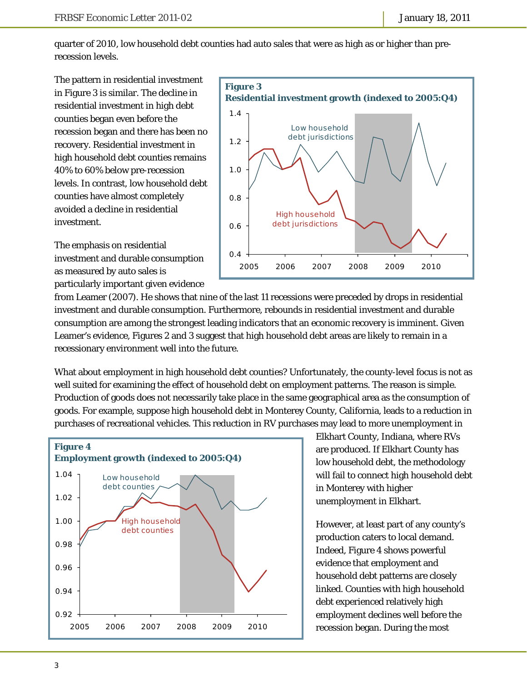quarter of 2010, low household debt counties had auto sales that were as high as or higher than prerecession levels.

The pattern in residential investment in Figure 3 is similar. The decline in residential investment in high debt counties began even before the recession began and there has been no recovery. Residential investment in high household debt counties remains 40% to 60% below pre-recession levels. In contrast, low household debt counties have almost completely avoided a decline in residential investment.



The emphasis on residential investment and durable consumption as measured by auto sales is particularly important given evidence

from Leamer (2007). He shows that nine of the last 11 recessions were preceded by drops in residential investment and durable consumption. Furthermore, rebounds in residential investment and durable consumption are among the strongest leading indicators that an economic recovery is imminent. Given Leamer's evidence, Figures 2 and 3 suggest that high household debt areas are likely to remain in a recessionary environment well into the future.

What about employment in high household debt counties? Unfortunately, the county-level focus is not as well suited for examining the effect of household debt on employment patterns. The reason is simple. Production of goods does not necessarily take place in the same geographical area as the consumption of goods. For example, suppose high household debt in Monterey County, California, leads to a reduction in purchases of recreational vehicles. This reduction in RV purchases may lead to more unemployment in



Elkhart County, Indiana, where RVs are produced. If Elkhart County has low household debt, the methodology will fail to connect high household debt in Monterey with higher unemployment in Elkhart.

However, at least part of any county's production caters to local demand. Indeed, Figure 4 shows powerful evidence that employment and household debt patterns are closely linked. Counties with high household debt experienced relatively high employment declines well before the recession began. During the most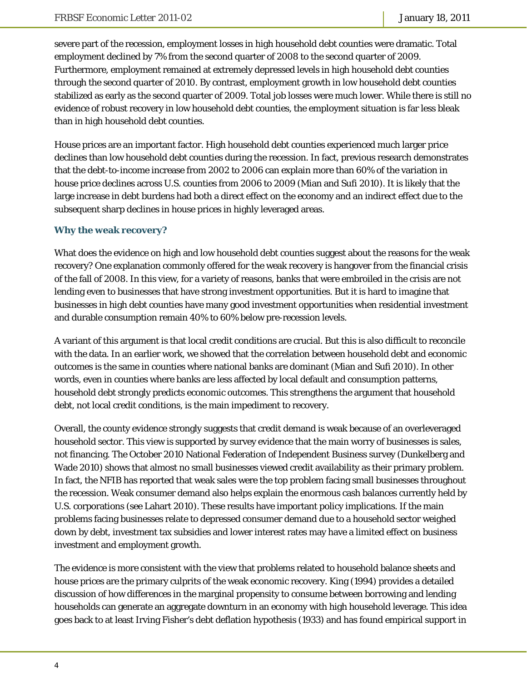severe part of the recession, employment losses in high household debt counties were dramatic. Total employment declined by 7% from the second quarter of 2008 to the second quarter of 2009. Furthermore, employment remained at extremely depressed levels in high household debt counties through the second quarter of 2010. By contrast, employment growth in low household debt counties stabilized as early as the second quarter of 2009. Total job losses were much lower. While there is still no evidence of robust recovery in low household debt counties, the employment situation is far less bleak than in high household debt counties.

House prices are an important factor. High household debt counties experienced much larger price declines than low household debt counties during the recession. In fact, previous research demonstrates that the debt-to-income increase from 2002 to 2006 can explain more than 60% of the variation in house price declines across U.S. counties from 2006 to 2009 (Mian and Sufi 2010). It is likely that the large increase in debt burdens had both a direct effect on the economy and an indirect effect due to the subsequent sharp declines in house prices in highly leveraged areas.

#### **Why the weak recovery?**

What does the evidence on high and low household debt counties suggest about the reasons for the weak recovery? One explanation commonly offered for the weak recovery is hangover from the financial crisis of the fall of 2008. In this view, for a variety of reasons, banks that were embroiled in the crisis are not lending even to businesses that have strong investment opportunities. But it is hard to imagine that businesses in high debt counties have many good investment opportunities when residential investment and durable consumption remain 40% to 60% below pre-recession levels.

A variant of this argument is that local credit conditions are crucial. But this is also difficult to reconcile with the data. In an earlier work, we showed that the correlation between household debt and economic outcomes is the same in counties where national banks are dominant (Mian and Sufi 2010). In other words, even in counties where banks are less affected by local default and consumption patterns, household debt strongly predicts economic outcomes. This strengthens the argument that household debt, not local credit conditions, is the main impediment to recovery.

Overall, the county evidence strongly suggests that credit demand is weak because of an overleveraged household sector. This view is supported by survey evidence that the main worry of businesses is sales, not financing. The October 2010 National Federation of Independent Business survey (Dunkelberg and Wade 2010) shows that almost no small businesses viewed credit availability as their primary problem. In fact, the NFIB has reported that weak sales were the top problem facing small businesses throughout the recession. Weak consumer demand also helps explain the enormous cash balances currently held by U.S. corporations (see Lahart 2010). These results have important policy implications. If the main problems facing businesses relate to depressed consumer demand due to a household sector weighed down by debt, investment tax subsidies and lower interest rates may have a limited effect on business investment and employment growth.

The evidence is more consistent with the view that problems related to household balance sheets and house prices are the primary culprits of the weak economic recovery. King (1994) provides a detailed discussion of how differences in the marginal propensity to consume between borrowing and lending households can generate an aggregate downturn in an economy with high household leverage. This idea goes back to at least Irving Fisher's debt deflation hypothesis (1933) and has found empirical support in